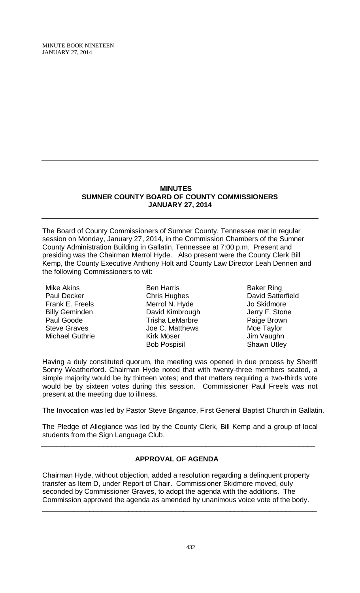MINUTE BOOK NINETEEN JANUARY 27, 2014

### **MINUTES SUMNER COUNTY BOARD OF COUNTY COMMISSIONERS JANUARY 27, 2014**

The Board of County Commissioners of Sumner County, Tennessee met in regular session on Monday, January 27, 2014, in the Commission Chambers of the Sumner County Administration Building in Gallatin, Tennessee at 7:00 p.m. Present and presiding was the Chairman Merrol Hyde. Also present were the County Clerk Bill Kemp, the County Executive Anthony Holt and County Law Director Leah Dennen and the following Commissioners to wit:

Mike Akins Paul Decker Frank E. Freels Billy Geminden Paul Goode Steve Graves Michael Guthrie

Ben Harris Chris Hughes Merrol N. Hyde David Kimbrough Trisha LeMarbre Joe C. Matthews Kirk Moser Bob Pospisil

Baker Ring David Satterfield Jo Skidmore Jerry F. Stone Paige Brown Moe Taylor Jim Vaughn Shawn Utley

Having a duly constituted quorum, the meeting was opened in due process by Sheriff Sonny Weatherford. Chairman Hyde noted that with twenty-three members seated, a simple majority would be by thirteen votes; and that matters requiring a two-thirds vote would be by sixteen votes during this session. Commissioner Paul Freels was not present at the meeting due to illness.

The Invocation was led by Pastor Steve Brigance, First General Baptist Church in Gallatin.

The Pledge of Allegiance was led by the County Clerk, Bill Kemp and a group of local students from the Sign Language Club.

# **APPROVAL OF AGENDA**

 $\overline{\phantom{a}}$  , and the contribution of the contribution of the contribution of the contribution of the contribution of the contribution of the contribution of the contribution of the contribution of the contribution of the

Chairman Hyde, without objection, added a resolution regarding a delinquent property transfer as Item D, under Report of Chair. Commissioner Skidmore moved, duly seconded by Commissioner Graves, to adopt the agenda with the additions. The Commission approved the agenda as amended by unanimous voice vote of the body.

\_\_\_\_\_\_\_\_\_\_\_\_\_\_\_\_\_\_\_\_\_\_\_\_\_\_\_\_\_\_\_\_\_\_\_\_\_\_\_\_\_\_\_\_\_\_\_\_\_\_\_\_\_\_\_\_\_\_\_\_\_\_\_\_\_\_\_\_\_\_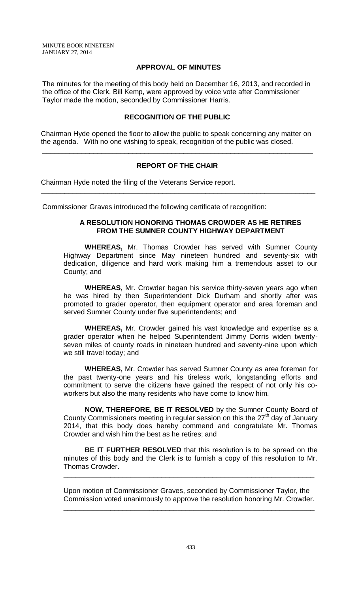## **APPROVAL OF MINUTES**

The minutes for the meeting of this body held on December 16, 2013, and recorded in the office of the Clerk, Bill Kemp, were approved by voice vote after Commissioner Taylor made the motion, seconded by Commissioner Harris.

# **RECOGNITION OF THE PUBLIC**

 Chairman Hyde opened the floor to allow the public to speak concerning any matter on the agenda. With no one wishing to speak, recognition of the public was closed.

\_\_\_\_\_\_\_\_\_\_\_\_\_\_\_\_\_\_\_\_\_\_\_\_\_\_\_\_\_\_\_\_\_\_\_\_\_\_\_\_\_\_\_\_\_\_\_\_\_\_\_\_\_\_\_\_\_\_\_\_\_\_\_\_\_\_\_\_\_

# **REPORT OF THE CHAIR**

 $\overline{\phantom{a}}$  , and the contribution of the contribution of the contribution of the contribution of the contribution of the contribution of the contribution of the contribution of the contribution of the contribution of the

Chairman Hyde noted the filing of the Veterans Service report.

Commissioner Graves introduced the following certificate of recognition:

### **A RESOLUTION HONORING THOMAS CROWDER AS HE RETIRES FROM THE SUMNER COUNTY HIGHWAY DEPARTMENT**

**WHEREAS,** Mr. Thomas Crowder has served with Sumner County Highway Department since May nineteen hundred and seventy-six with dedication, diligence and hard work making him a tremendous asset to our County; and

**WHEREAS,** Mr. Crowder began his service thirty-seven years ago when he was hired by then Superintendent Dick Durham and shortly after was promoted to grader operator, then equipment operator and area foreman and served Sumner County under five superintendents; and

**WHEREAS,** Mr. Crowder gained his vast knowledge and expertise as a grader operator when he helped Superintendent Jimmy Dorris widen twentyseven miles of county roads in nineteen hundred and seventy-nine upon which we still travel today; and

**WHEREAS,** Mr. Crowder has served Sumner County as area foreman for the past twenty-one years and his tireless work, longstanding efforts and commitment to serve the citizens have gained the respect of not only his coworkers but also the many residents who have come to know him.

**NOW, THEREFORE, BE IT RESOLVED** by the Sumner County Board of County Commissioners meeting in regular session on this the 27<sup>th</sup> day of January 2014, that this body does hereby commend and congratulate Mr. Thomas Crowder and wish him the best as he retires; and

**BE IT FURTHER RESOLVED** that this resolution is to be spread on the minutes of this body and the Clerk is to furnish a copy of this resolution to Mr. Thomas Crowder.

Upon motion of Commissioner Graves, seconded by Commissioner Taylor, the Commission voted unanimously to approve the resolution honoring Mr. Crowder.

\_\_\_\_\_\_\_\_\_\_\_\_\_\_\_\_\_\_\_\_\_\_\_\_\_\_\_\_\_\_\_\_\_\_\_\_\_\_\_\_\_\_\_\_\_\_\_\_\_\_\_\_\_\_\_\_\_\_\_\_\_\_\_\_

**\_\_\_\_\_\_\_\_\_\_\_\_\_\_\_\_\_\_\_\_\_\_\_\_\_\_\_\_\_\_\_\_\_\_\_\_\_\_\_\_\_\_\_\_\_\_\_\_\_\_\_\_\_\_\_\_\_\_\_\_\_\_\_\_**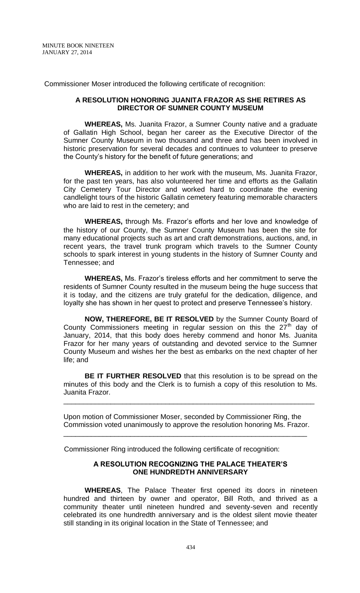Commissioner Moser introduced the following certificate of recognition:

### **A RESOLUTION HONORING JUANITA FRAZOR AS SHE RETIRES AS DIRECTOR OF SUMNER COUNTY MUSEUM**

**WHEREAS,** Ms. Juanita Frazor, a Sumner County native and a graduate of Gallatin High School, began her career as the Executive Director of the Sumner County Museum in two thousand and three and has been involved in historic preservation for several decades and continues to volunteer to preserve the County's history for the benefit of future generations; and

**WHEREAS,** in addition to her work with the museum, Ms. Juanita Frazor, for the past ten years, has also volunteered her time and efforts as the Gallatin City Cemetery Tour Director and worked hard to coordinate the evening candlelight tours of the historic Gallatin cemetery featuring memorable characters who are laid to rest in the cemetery; and

**WHEREAS,** through Ms. Frazor's efforts and her love and knowledge of the history of our County, the Sumner County Museum has been the site for many educational projects such as art and craft demonstrations, auctions, and, in recent years, the travel trunk program which travels to the Sumner County schools to spark interest in young students in the history of Sumner County and Tennessee; and

**WHEREAS,** Ms. Frazor's tireless efforts and her commitment to serve the residents of Sumner County resulted in the museum being the huge success that it is today, and the citizens are truly grateful for the dedication, diligence, and loyalty she has shown in her quest to protect and preserve Tennessee's history.

**NOW, THEREFORE, BE IT RESOLVED** by the Sumner County Board of County Commissioners meeting in regular session on this the  $27<sup>th</sup>$  day of January, 2014, that this body does hereby commend and honor Ms. Juanita Frazor for her many years of outstanding and devoted service to the Sumner County Museum and wishes her the best as embarks on the next chapter of her life; and

**BE IT FURTHER RESOLVED** that this resolution is to be spread on the minutes of this body and the Clerk is to furnish a copy of this resolution to Ms. Juanita Frazor.

\_\_\_\_\_\_\_\_\_\_\_\_\_\_\_\_\_\_\_\_\_\_\_\_\_\_\_\_\_\_\_\_\_\_\_\_\_\_\_\_\_\_\_\_\_\_\_\_\_\_\_\_\_\_\_\_\_\_\_\_\_\_\_\_

Upon motion of Commissioner Moser, seconded by Commissioner Ring, the Commission voted unanimously to approve the resolution honoring Ms. Frazor.

\_\_\_\_\_\_\_\_\_\_\_\_\_\_\_\_\_\_\_\_\_\_\_\_\_\_\_\_\_\_\_\_\_\_\_\_\_\_\_\_\_\_\_\_\_\_\_\_\_\_\_\_\_\_\_\_\_\_\_\_\_\_

Commissioner Ring introduced the following certificate of recognition:

### **A RESOLUTION RECOGNIZING THE PALACE THEATER'S ONE HUNDREDTH ANNIVERSARY**

**WHEREAS**, The Palace Theater first opened its doors in nineteen hundred and thirteen by owner and operator, Bill Roth, and thrived as a community theater until nineteen hundred and seventy-seven and recently celebrated its one hundredth anniversary and is the oldest silent movie theater still standing in its original location in the State of Tennessee; and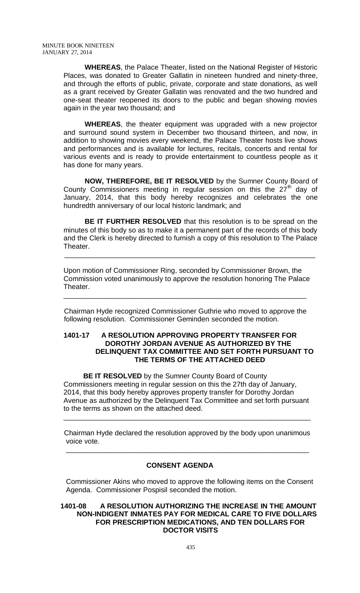**WHEREAS**, the Palace Theater, listed on the National Register of Historic Places, was donated to Greater Gallatin in nineteen hundred and ninety-three, and through the efforts of public, private, corporate and state donations, as well as a grant received by Greater Gallatin was renovated and the two hundred and one-seat theater reopened its doors to the public and began showing movies again in the year two thousand; and

**WHEREAS**, the theater equipment was upgraded with a new projector and surround sound system in December two thousand thirteen, and now, in addition to showing movies every weekend, the Palace Theater hosts live shows and performances and is available for lectures, recitals, concerts and rental for various events and is ready to provide entertainment to countless people as it has done for many years.

**NOW, THEREFORE, BE IT RESOLVED** by the Sumner County Board of County Commissioners meeting in regular session on this the  $27<sup>th</sup>$  day of January, 2014, that this body hereby recognizes and celebrates the one hundredth anniversary of our local historic landmark; and

**BE IT FURTHER RESOLVED** that this resolution is to be spread on the minutes of this body so as to make it a permanent part of the records of this body and the Clerk is hereby directed to furnish a copy of this resolution to The Palace Theater.

Upon motion of Commissioner Ring, seconded by Commissioner Brown, the Commission voted unanimously to approve the resolution honoring The Palace Theater.

\_\_\_\_\_\_\_\_\_\_\_\_\_\_\_\_\_\_\_\_\_\_\_\_\_\_\_\_\_\_\_\_\_\_\_\_\_\_\_\_\_\_\_\_\_\_\_\_\_\_\_\_\_\_\_\_\_\_\_\_\_\_\_\_

 Chairman Hyde recognized Commissioner Guthrie who moved to approve the following resolution. Commissioner Geminden seconded the motion.

\_\_\_\_\_\_\_\_\_\_\_\_\_\_\_\_\_\_\_\_\_\_\_\_\_\_\_\_\_\_\_\_\_\_\_\_\_\_\_\_\_\_\_\_\_\_\_\_\_\_\_\_\_\_\_\_\_\_\_\_\_\_

## **1401-17 A RESOLUTION APPROVING PROPERTY TRANSFER FOR DOROTHY JORDAN AVENUE AS AUTHORIZED BY THE DELINQUENT TAX COMMITTEE AND SET FORTH PURSUANT TO THE TERMS OF THE ATTACHED DEED**

**BE IT RESOLVED** by the Sumner County Board of County Commissioners meeting in regular session on this the 27th day of January, 2014, that this body hereby approves property transfer for Dorothy Jordan Avenue as authorized by the Delinquent Tax Committee and set forth pursuant to the terms as shown on the attached deed.

Chairman Hyde declared the resolution approved by the body upon unanimous voice vote.

\_\_\_\_\_\_\_\_\_\_\_\_\_\_\_\_\_\_\_\_\_\_\_\_\_\_\_\_\_\_\_\_\_\_\_\_\_\_\_\_\_\_\_\_\_\_\_\_\_\_\_\_\_\_\_\_\_\_\_\_\_\_\_

# **CONSENT AGENDA**

\_\_\_\_\_\_\_\_\_\_\_\_\_\_\_\_\_\_\_\_\_\_\_\_\_\_\_\_\_\_\_\_\_\_\_\_\_\_\_\_\_\_\_\_\_\_\_\_\_\_\_\_\_\_\_\_\_\_\_\_\_\_

 Commissioner Akins who moved to approve the following items on the Consent Agenda. Commissioner Pospisil seconded the motion.

 **1401-08 A RESOLUTION AUTHORIZING THE INCREASE IN THE AMOUNT NON-INDIGENT INMATES PAY FOR MEDICAL CARE TO FIVE DOLLARS FOR PRESCRIPTION MEDICATIONS, AND TEN DOLLARS FOR DOCTOR VISITS**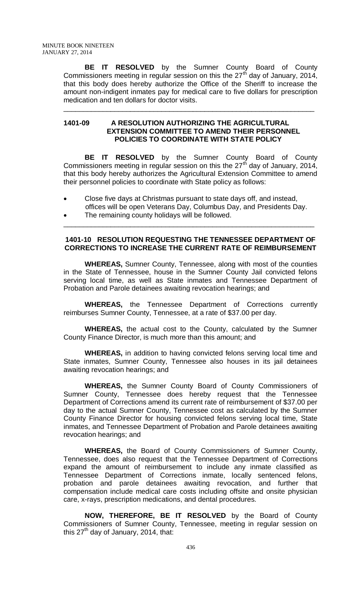**BE IT RESOLVED** by the Sumner County Board of County Commissioners meeting in regular session on this the  $27<sup>th</sup>$  day of January, 2014, that this body does hereby authorize the Office of the Sheriff to increase the amount non-indigent inmates pay for medical care to five dollars for prescription medication and ten dollars for doctor visits.

\_\_\_\_\_\_\_\_\_\_\_\_\_\_\_\_\_\_\_\_\_\_\_\_\_\_\_\_\_\_\_\_\_\_\_\_\_\_\_\_\_\_\_\_\_\_\_\_\_\_\_\_\_\_\_\_\_\_\_\_\_\_\_\_

### **1401-09 A RESOLUTION AUTHORIZING THE AGRICULTURAL EXTENSION COMMITTEE TO AMEND THEIR PERSONNEL POLICIES TO COORDINATE WITH STATE POLICY**

**BE IT RESOLVED** by the Sumner County Board of County Commissioners meeting in regular session on this the  $27<sup>th</sup>$  day of January, 2014, that this body hereby authorizes the Agricultural Extension Committee to amend their personnel policies to coordinate with State policy as follows:

- Close five days at Christmas pursuant to state days off, and instead, offices will be open Veterans Day, Columbus Day, and Presidents Day.
- The remaining county holidays will be followed.

## **1401-10 RESOLUTION REQUESTING THE TENNESSEE DEPARTMENT OF CORRECTIONS TO INCREASE THE CURRENT RATE OF REIMBURSEMENT**

\_\_\_\_\_\_\_\_\_\_\_\_\_\_\_\_\_\_\_\_\_\_\_\_\_\_\_\_\_\_\_\_\_\_\_\_\_\_\_\_\_\_\_\_\_\_\_\_\_\_\_\_\_\_\_\_\_\_\_\_\_\_\_\_

**WHEREAS,** Sumner County, Tennessee, along with most of the counties in the State of Tennessee, house in the Sumner County Jail convicted felons serving local time, as well as State inmates and Tennessee Department of Probation and Parole detainees awaiting revocation hearings; and

**WHEREAS,** the Tennessee Department of Corrections currently reimburses Sumner County, Tennessee, at a rate of \$37.00 per day.

**WHEREAS,** the actual cost to the County, calculated by the Sumner County Finance Director, is much more than this amount; and

**WHEREAS,** in addition to having convicted felons serving local time and State inmates, Sumner County, Tennessee also houses in its jail detainees awaiting revocation hearings; and

**WHEREAS,** the Sumner County Board of County Commissioners of Sumner County, Tennessee does hereby request that the Tennessee Department of Corrections amend its current rate of reimbursement of \$37.00 per day to the actual Sumner County, Tennessee cost as calculated by the Sumner County Finance Director for housing convicted felons serving local time, State inmates, and Tennessee Department of Probation and Parole detainees awaiting revocation hearings; and

**WHEREAS,** the Board of County Commissioners of Sumner County, Tennessee, does also request that the Tennessee Department of Corrections expand the amount of reimbursement to include any inmate classified as Tennessee Department of Corrections inmate, locally sentenced felons, probation and parole detainees awaiting revocation, and further that compensation include medical care costs including offsite and onsite physician care, x-rays, prescription medications, and dental procedures.

**NOW, THEREFORE, BE IT RESOLVED** by the Board of County Commissioners of Sumner County, Tennessee, meeting in regular session on this  $27<sup>th</sup>$  day of January, 2014, that: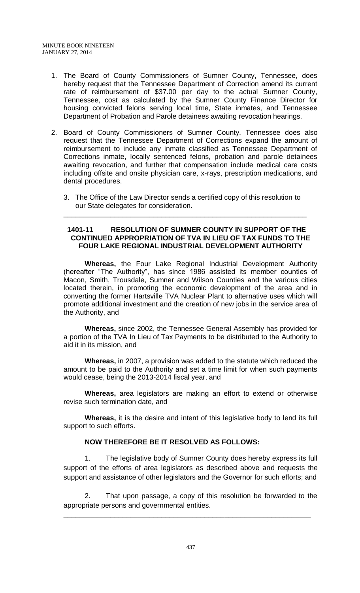- 1. The Board of County Commissioners of Sumner County, Tennessee, does hereby request that the Tennessee Department of Correction amend its current rate of reimbursement of \$37.00 per day to the actual Sumner County, Tennessee, cost as calculated by the Sumner County Finance Director for housing convicted felons serving local time, State inmates, and Tennessee Department of Probation and Parole detainees awaiting revocation hearings.
- 2. Board of County Commissioners of Sumner County, Tennessee does also request that the Tennessee Department of Corrections expand the amount of reimbursement to include any inmate classified as Tennessee Department of Corrections inmate, locally sentenced felons, probation and parole detainees awaiting revocation, and further that compensation include medical care costs including offsite and onsite physician care, x-rays, prescription medications, and dental procedures.
	- 3. The Office of the Law Director sends a certified copy of this resolution to our State delegates for consideration.

\_\_\_\_\_\_\_\_\_\_\_\_\_\_\_\_\_\_\_\_\_\_\_\_\_\_\_\_\_\_\_\_\_\_\_\_\_\_\_\_\_\_\_\_\_\_\_\_\_\_\_\_\_\_\_\_\_\_\_\_\_\_

## **1401-11 RESOLUTION OF SUMNER COUNTY IN SUPPORT OF THE CONTINUED APPROPRIATION OF TVA IN LIEU OF TAX FUNDS TO THE FOUR LAKE REGIONAL INDUSTRIAL DEVELOPMENT AUTHORITY**

**Whereas,** the Four Lake Regional Industrial Development Authority (hereafter "The Authority", has since 1986 assisted its member counties of Macon, Smith, Trousdale, Sumner and Wilson Counties and the various cities located therein, in promoting the economic development of the area and in converting the former Hartsville TVA Nuclear Plant to alternative uses which will promote additional investment and the creation of new jobs in the service area of the Authority, and

**Whereas,** since 2002, the Tennessee General Assembly has provided for a portion of the TVA In Lieu of Tax Payments to be distributed to the Authority to aid it in its mission, and

**Whereas,** in 2007, a provision was added to the statute which reduced the amount to be paid to the Authority and set a time limit for when such payments would cease, being the 2013-2014 fiscal year, and

**Whereas,** area legislators are making an effort to extend or otherwise revise such termination date, and

**Whereas,** it is the desire and intent of this legislative body to lend its full support to such efforts.

# **NOW THEREFORE BE IT RESOLVED AS FOLLOWS:**

1. The legislative body of Sumner County does hereby express its full support of the efforts of area legislators as described above and requests the support and assistance of other legislators and the Governor for such efforts; and

2. That upon passage, a copy of this resolution be forwarded to the appropriate persons and governmental entities.

\_\_\_\_\_\_\_\_\_\_\_\_\_\_\_\_\_\_\_\_\_\_\_\_\_\_\_\_\_\_\_\_\_\_\_\_\_\_\_\_\_\_\_\_\_\_\_\_\_\_\_\_\_\_\_\_\_\_\_\_\_\_\_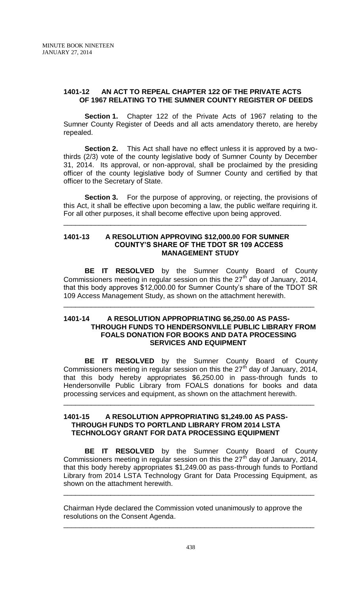## **1401-12 AN ACT TO REPEAL CHAPTER 122 OF THE PRIVATE ACTS OF 1967 RELATING TO THE SUMNER COUNTY REGISTER OF DEEDS**

**Section 1.** Chapter 122 of the Private Acts of 1967 relating to the Sumner County Register of Deeds and all acts amendatory thereto, are hereby repealed.

**Section 2.** This Act shall have no effect unless it is approved by a twothirds (2/3) vote of the county legislative body of Sumner County by December 31, 2014. Its approval, or non-approval, shall be proclaimed by the presiding officer of the county legislative body of Sumner County and certified by that officer to the Secretary of State.

**Section 3.** For the purpose of approving, or rejecting, the provisions of this Act, it shall be effective upon becoming a law, the public welfare requiring it. For all other purposes, it shall become effective upon being approved.

\_\_\_\_\_\_\_\_\_\_\_\_\_\_\_\_\_\_\_\_\_\_\_\_\_\_\_\_\_\_\_\_\_\_\_\_\_\_\_\_\_\_\_\_\_\_\_\_\_\_\_\_\_\_\_\_\_\_\_\_\_\_

## **1401-13 A RESOLUTION APPROVING \$12,000.00 FOR SUMNER COUNTY'S SHARE OF THE TDOT SR 109 ACCESS MANAGEMENT STUDY**

**BE IT RESOLVED** by the Sumner County Board of County Commissioners meeting in regular session on this the  $27<sup>th</sup>$  day of January, 2014, that this body approves \$12,000.00 for Sumner County's share of the TDOT SR 109 Access Management Study, as shown on the attachment herewith.

\_\_\_\_\_\_\_\_\_\_\_\_\_\_\_\_\_\_\_\_\_\_\_\_\_\_\_\_\_\_\_\_\_\_\_\_\_\_\_\_\_\_\_\_\_\_\_\_\_\_\_\_\_\_\_\_\_\_\_\_\_\_\_\_

### **1401-14 A RESOLUTION APPROPRIATING \$6,250.00 AS PASS- THROUGH FUNDS TO HENDERSONVILLE PUBLIC LIBRARY FROM FOALS DONATION FOR BOOKS AND DATA PROCESSING SERVICES AND EQUIPMENT**

**BE IT RESOLVED** by the Sumner County Board of County Commissioners meeting in regular session on this the  $27<sup>th</sup>$  day of January, 2014, that this body hereby appropriates \$6,250.00 in pass-through funds to Hendersonville Public Library from FOALS donations for books and data processing services and equipment, as shown on the attachment herewith.

\_\_\_\_\_\_\_\_\_\_\_\_\_\_\_\_\_\_\_\_\_\_\_\_\_\_\_\_\_\_\_\_\_\_\_\_\_\_\_\_\_\_\_\_\_\_\_\_\_\_\_\_\_\_\_\_\_\_\_\_\_\_\_\_

### **1401-15 A RESOLUTION APPROPRIATING \$1,249.00 AS PASS-THROUGH FUNDS TO PORTLAND LIBRARY FROM 2014 LSTA TECHNOLOGY GRANT FOR DATA PROCESSING EQUIPMENT**

**BE IT RESOLVED** by the Sumner County Board of County Commissioners meeting in regular session on this the  $27<sup>th</sup>$  day of January, 2014, that this body hereby appropriates \$1,249.00 as pass-through funds to Portland Library from 2014 LSTA Technology Grant for Data Processing Equipment, as shown on the attachment herewith.

\_\_\_\_\_\_\_\_\_\_\_\_\_\_\_\_\_\_\_\_\_\_\_\_\_\_\_\_\_\_\_\_\_\_\_\_\_\_\_\_\_\_\_\_\_\_\_\_\_\_\_\_\_\_\_\_\_\_\_\_\_\_\_\_

\_\_\_\_\_\_\_\_\_\_\_\_\_\_\_\_\_\_\_\_\_\_\_\_\_\_\_\_\_\_\_\_\_\_\_\_\_\_\_\_\_\_\_\_\_\_\_\_\_\_\_\_\_\_\_\_\_\_\_\_\_\_\_\_

Chairman Hyde declared the Commission voted unanimously to approve the resolutions on the Consent Agenda.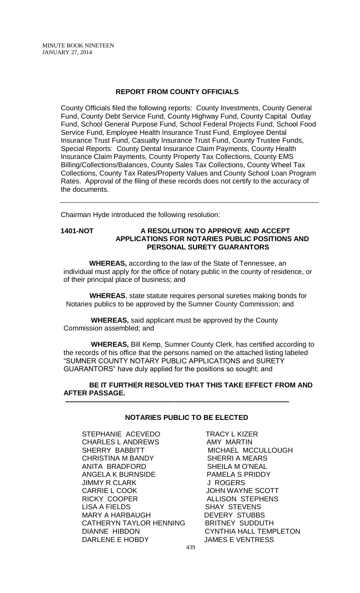## **REPORT FROM COUNTY OFFICIALS**

County Officials filed the following reports: County Investments, County General Fund, County Debt Service Fund, County Highway Fund, County Capital Outlay Fund, School General Purpose Fund, School Federal Projects Fund, School Food Service Fund, Employee Health Insurance Trust Fund, Employee Dental Insurance Trust Fund, Casualty Insurance Trust Fund, County Trustee Funds, Special Reports: County Dental Insurance Claim Payments, County Health Insurance Claim Payments, County Property Tax Collections, County EMS Billing/Collections/Balances, County Sales Tax Collections, County Wheel Tax Collections, County Tax Rates/Property Values and County School Loan Program Rates. Approval of the filing of these records does not certify to the accuracy of the documents.

Chairman Hyde introduced the following resolution:

## **1401-NOT A RESOLUTION TO APPROVE AND ACCEPT APPLICATIONS FOR NOTARIES PUBLIC POSITIONS AND PERSONAL SURETY GUARANTORS**

 **WHEREAS,** according to the law of the State of Tennessee, an individual must apply for the office of notary public in the county of residence, or of their principal place of business; and

 **WHEREAS**, state statute requires personal sureties making bonds for Notaries publics to be approved by the Sumner County Commission; and

 **WHEREAS,** said applicant must be approved by the County Commission assembled; and

 **–––––––––––––––––––––––––––––––––––––––––––––––––––––––––**

 **WHEREAS,** Bill Kemp, Sumner County Clerk, has certified according to the records of his office that the persons named on the attached listing labeled "SUMNER COUNTY NOTARY PUBLIC APPLICATIONS and SURETY GUARANTORS" have duly applied for the positions so sought; and

 **BE IT FURTHER RESOLVED THAT THIS TAKE EFFECT FROM AND AFTER PASSAGE.**

### **NOTARIES PUBLIC TO BE ELECTED**

STEPHANIE ACEVEDO TRACY L KIZER<br>CHARLES L ANDREWS AMY MARTIN CHARLES L ANDREWS SHERRY BABBITT MICHAEL MCCULLOUGH CHRISTINA M BANDY SHERRI A MEARS ANITA BRADFORD SHEILA M O'NEAL ANGELA K BURNSIDE PAMELA S PRIDDY JIMMY R CLARK J ROGERS CARRIE L COOK JOHN WAYNE SCOTT<br>RICKY COOPER ALLISON STEPHENS LISA A FIELDS SHAY STEVENS MARY A HARBAUGH DEVERY STUBBS CATHERYN TAYLOR HENNING BRITNEY SUDDUTH DIANNE HIBDON CYNTHIA HALL TEMPLETON DARLENE E HOBDY JAMES E VENTRESS

ALLISON STEPHENS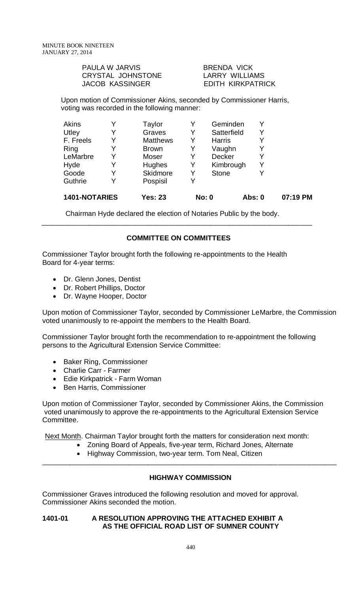| <b>PAULA W JARVIS</b> | <b>BRENDA VICK</b> |
|-----------------------|--------------------|
| CRYSTAL JOHNSTONE     | LARRY WILLIAMS     |
| JACOB KASSINGER       | EDITH KIRKPATRICK  |

Upon motion of Commissioner Akins, seconded by Commissioner Harris, voting was recorded in the following manner:

| 1401-NOTARIES | <b>Yes: 23</b>  |   | <b>No: 0</b>  | <b>Abs: 0</b> | 07:19 PM |
|---------------|-----------------|---|---------------|---------------|----------|
| Guthrie       | Pospisil        |   |               |               |          |
| Goode         | Skidmore        | Y | <b>Stone</b>  | Y             |          |
| Hyde          | Hughes          | Y | Kimbrough     | Y             |          |
| LeMarbre      | Moser           |   | <b>Decker</b> | Y             |          |
| Ring          | <b>Brown</b>    | Y | Vaughn        | Y             |          |
| F. Freels     | <b>Matthews</b> |   | <b>Harris</b> | Y             |          |
| Utley         | Graves          | Y | Satterfield   | Y             |          |
| Akins         | Taylor          |   | Geminden      | Y             |          |

Chairman Hyde declared the election of Notaries Public by the body.

# **COMMITTEE ON COMMITTEES**

\_\_\_\_\_\_\_\_\_\_\_\_\_\_\_\_\_\_\_\_\_\_\_\_\_\_\_\_\_\_\_\_\_\_\_\_\_\_\_\_\_\_\_\_\_\_\_\_\_\_\_\_\_\_\_\_\_\_\_\_\_\_\_\_\_\_\_\_\_

Commissioner Taylor brought forth the following re-appointments to the Health Board for 4-year terms:

- Dr. Glenn Jones, Dentist
- Dr. Robert Phillips, Doctor
- Dr. Wayne Hooper, Doctor

Upon motion of Commissioner Taylor, seconded by Commissioner LeMarbre, the Commission voted unanimously to re-appoint the members to the Health Board.

Commissioner Taylor brought forth the recommendation to re-appointment the following persons to the Agricultural Extension Service Committee:

- Baker Ring, Commissioner
- Charlie Carr Farmer
- Edie Kirkpatrick Farm Woman
- Ben Harris, Commissioner

Upon motion of Commissioner Taylor, seconded by Commissioner Akins, the Commission voted unanimously to approve the re-appointments to the Agricultural Extension Service Committee.

Next Month. Chairman Taylor brought forth the matters for consideration next month:

- Zoning Board of Appeals, five-year term, Richard Jones, Alternate
	- Highway Commission, two-year term. Tom Neal, Citizen

# **HIGHWAY COMMISSION**

\_\_\_\_\_\_\_\_\_\_\_\_\_\_\_\_\_\_\_\_\_\_\_\_\_\_\_\_\_\_\_\_\_\_\_\_\_\_\_\_\_\_\_\_\_\_\_\_\_\_\_\_\_\_\_\_\_\_\_\_\_\_\_\_\_\_\_\_\_\_\_\_\_\_\_

Commissioner Graves introduced the following resolution and moved for approval. Commissioner Akins seconded the motion.

### **1401-01 A RESOLUTION APPROVING THE ATTACHED EXHIBIT A AS THE OFFICIAL ROAD LIST OF SUMNER COUNTY**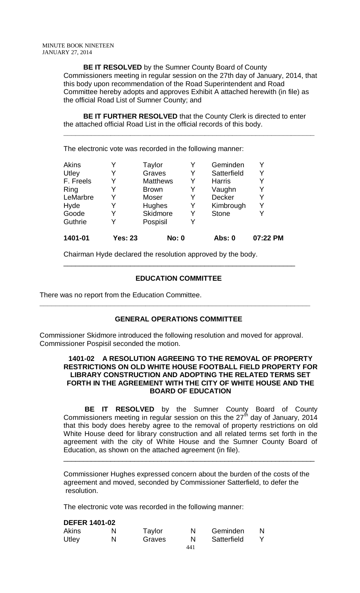**BE IT RESOLVED** by the Sumner County Board of County Commissioners meeting in regular session on the 27th day of January, 2014, that this body upon recommendation of the Road Superintendent and Road Committee hereby adopts and approves Exhibit A attached herewith (in file) as the official Road List of Sumner County; and

 **BE IT FURTHER RESOLVED** that the County Clerk is directed to enter the attached official Road List in the official records of this body.

**\_\_\_\_\_\_\_\_\_\_\_\_\_\_\_\_\_\_\_\_\_\_\_\_\_\_\_\_\_\_\_\_\_\_\_\_\_\_\_\_\_\_\_\_\_\_\_\_\_\_\_\_\_\_\_\_\_\_\_\_\_\_\_\_**

The electronic vote was recorded in the following manner:

| 1401-01      | <b>Yes: 23</b> | <b>No: 0</b>    |   | <b>Abs: 0</b> | 07:22 PM |
|--------------|----------------|-----------------|---|---------------|----------|
| Guthrie      | Y              | Pospisil        | Y |               |          |
| Goode        | Y              | Skidmore        | Y | <b>Stone</b>  |          |
| Hyde         | Y              | Hughes          | Y | Kimbrough     | Y        |
| LeMarbre     | Y              | Moser           | Y | Decker        |          |
| Ring         | Y              | <b>Brown</b>    | Y | Vaughn        |          |
| F. Freels    | Y              | <b>Matthews</b> | Y | <b>Harris</b> |          |
| Utley        | Y              | Graves          | Y | Satterfield   |          |
| <b>Akins</b> |                | Taylor          |   | Geminden      |          |

Chairman Hyde declared the resolution approved by the body.

# **EDUCATION COMMITTEE**

\_\_\_\_\_\_\_\_\_\_\_\_\_\_\_\_\_\_\_\_\_\_\_\_\_\_\_\_\_\_\_\_\_\_\_\_\_\_\_\_\_\_\_\_\_\_\_\_\_\_\_\_\_\_\_\_\_\_\_

There was no report from the Education Committee.

# **GENERAL OPERATIONS COMMITTEE**

**\_\_\_\_\_\_\_\_\_\_\_\_\_\_\_\_\_\_\_\_\_\_\_\_\_\_\_\_\_\_\_\_\_\_\_\_\_\_\_\_\_\_\_\_\_\_\_\_\_\_\_\_\_\_\_\_\_\_\_\_\_\_\_\_\_\_\_\_\_**

Commissioner Skidmore introduced the following resolution and moved for approval. Commissioner Pospisil seconded the motion.

### **1401-02 A RESOLUTION AGREEING TO THE REMOVAL OF PROPERTY RESTRICTIONS ON OLD WHITE HOUSE FOOTBALL FIELD PROPERTY FOR LIBRARY CONSTRUCTION AND ADOPTING THE RELATED TERMS SET FORTH IN THE AGREEMENT WITH THE CITY OF WHITE HOUSE AND THE BOARD OF EDUCATION**

**BE IT RESOLVED** by the Sumner County Board of County Commissioners meeting in regular session on this the 27<sup>th</sup> day of January, 2014 that this body does hereby agree to the removal of property restrictions on old White House deed for library construction and all related terms set forth in the agreement with the city of White House and the Sumner County Board of Education, as shown on the attached agreement (in file).

Commissioner Hughes expressed concern about the burden of the costs of the agreement and moved, seconded by Commissioner Satterfield, to defer the resolution.

\_\_\_\_\_\_\_\_\_\_\_\_\_\_\_\_\_\_\_\_\_\_\_\_\_\_\_\_\_\_\_\_\_\_\_\_\_\_\_\_\_\_\_\_\_\_\_\_\_\_\_\_\_\_\_\_\_\_\_\_\_\_\_\_

The electronic vote was recorded in the following manner:

### **DEFER 1401-02**

| <b>Akins</b> | N | Taylor |     | Geminden    |  |
|--------------|---|--------|-----|-------------|--|
| Utley        | N | Graves | N   | Satterfield |  |
|              |   |        | 441 |             |  |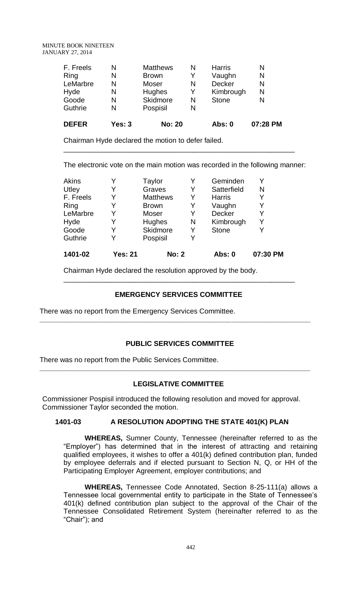#### MINUTE BOOK NINETEEN JANUARY 27, 2014

| <b>DEFER</b> | Yes: $3$ | <b>No: 20</b>   |   | Abs: 0        | 07:28 PM |
|--------------|----------|-----------------|---|---------------|----------|
| Guthrie      | N        | Pospisil        | N |               |          |
| Goode        | N        | Skidmore        | N | <b>Stone</b>  | N        |
| Hyde         | N        | <b>Hughes</b>   | Y | Kimbrough     | N        |
| LeMarbre     | N        | Moser           | N | <b>Decker</b> | N        |
| Ring         | N        | <b>Brown</b>    | Y | Vaughn        | N        |
| F. Freels    | N        | <b>Matthews</b> | N | <b>Harris</b> | N        |

Chairman Hyde declared the motion to defer failed.

The electronic vote on the main motion was recorded in the following manner:

\_\_\_\_\_\_\_\_\_\_\_\_\_\_\_\_\_\_\_\_\_\_\_\_\_\_\_\_\_\_\_\_\_\_\_\_\_\_\_\_\_\_\_\_\_\_\_\_\_\_\_\_\_\_\_\_\_\_\_

| 1401-02      | <b>Yes: 21</b> | <b>No: 2</b>    |   | <b>Abs: 0</b> | 07:30 PM |
|--------------|----------------|-----------------|---|---------------|----------|
| Guthrie      | Y              | Pospisil        | Y |               |          |
| Goode        | Y              | Skidmore        | Y | <b>Stone</b>  |          |
| Hyde         | Y              | Hughes          | N | Kimbrough     | Y        |
| LeMarbre     | Y              | Moser           | Y | Decker        | Y        |
| Ring         |                | <b>Brown</b>    | Y | Vaughn        |          |
| F. Freels    | Y              | <b>Matthews</b> | Y | <b>Harris</b> | Y        |
| Utley        | Y              | Graves          | Y | Satterfield   | N        |
| <b>Akins</b> |                | Taylor          |   | Geminden      |          |

Chairman Hyde declared the resolution approved by the body.

# **EMERGENCY SERVICES COMMITTEE**

**\_\_\_\_\_\_\_\_\_\_\_\_\_\_\_\_\_\_\_\_\_\_\_\_\_\_\_\_\_\_\_\_\_\_\_\_\_\_\_\_\_\_\_\_\_\_\_\_\_\_\_\_\_\_\_\_\_\_\_\_\_\_\_\_\_\_\_\_\_**

\_\_\_\_\_\_\_\_\_\_\_\_\_\_\_\_\_\_\_\_\_\_\_\_\_\_\_\_\_\_\_\_\_\_\_\_\_\_\_\_\_\_\_\_\_\_\_\_\_\_\_\_\_\_\_\_\_\_\_

There was no report from the Emergency Services Committee.

# **PUBLIC SERVICES COMMITTEE**

There was no report from the Public Services Committee.

# **LEGISLATIVE COMMITTEE**

**\_\_\_\_\_\_\_\_\_\_\_\_\_\_\_\_\_\_\_\_\_\_\_\_\_\_\_\_\_\_\_\_\_\_\_\_\_\_\_\_\_\_\_\_\_\_\_\_\_\_\_\_\_\_\_\_\_\_\_\_\_\_\_\_\_\_\_\_\_**

Commissioner Pospisil introduced the following resolution and moved for approval. Commissioner Taylor seconded the motion.

## **1401-03 A RESOLUTION ADOPTING THE STATE 401(K) PLAN**

**WHEREAS,** Sumner County, Tennessee (hereinafter referred to as the "Employer") has determined that in the interest of attracting and retaining qualified employees, it wishes to offer a 401(k) defined contribution plan, funded by employee deferrals and if elected pursuant to Section N, Q, or HH of the Participating Employer Agreement, employer contributions; and

**WHEREAS,** Tennessee Code Annotated, Section 8-25-111(a) allows a Tennessee local governmental entity to participate in the State of Tennessee's 401(k) defined contribution plan subject to the approval of the Chair of the Tennessee Consolidated Retirement System (hereinafter referred to as the "Chair"); and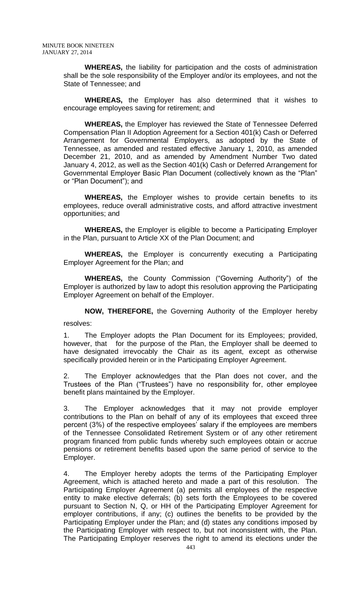**WHEREAS,** the liability for participation and the costs of administration shall be the sole responsibility of the Employer and/or its employees, and not the State of Tennessee; and

**WHEREAS,** the Employer has also determined that it wishes to encourage employees saving for retirement; and

**WHEREAS,** the Employer has reviewed the State of Tennessee Deferred Compensation Plan II Adoption Agreement for a Section 401(k) Cash or Deferred Arrangement for Governmental Employers, as adopted by the State of Tennessee, as amended and restated effective January 1, 2010, as amended December 21, 2010, and as amended by Amendment Number Two dated January 4, 2012, as well as the Section 401(k) Cash or Deferred Arrangement for Governmental Employer Basic Plan Document (collectively known as the "Plan" or "Plan Document"); and

**WHEREAS,** the Employer wishes to provide certain benefits to its employees, reduce overall administrative costs, and afford attractive investment opportunities; and

**WHEREAS,** the Employer is eligible to become a Participating Employer in the Plan, pursuant to Article XX of the Plan Document; and

**WHEREAS,** the Employer is concurrently executing a Participating Employer Agreement for the Plan; and

**WHEREAS,** the County Commission ("Governing Authority") of the Employer is authorized by law to adopt this resolution approving the Participating Employer Agreement on behalf of the Employer.

**NOW, THEREFORE,** the Governing Authority of the Employer hereby resolves:

1. The Employer adopts the Plan Document for its Employees; provided, however, that for the purpose of the Plan, the Employer shall be deemed to have designated irrevocably the Chair as its agent, except as otherwise

specifically provided herein or in the Participating Employer Agreement.

2. The Employer acknowledges that the Plan does not cover, and the Trustees of the Plan ("Trustees") have no responsibility for, other employee benefit plans maintained by the Employer.

3. The Employer acknowledges that it may not provide employer contributions to the Plan on behalf of any of its employees that exceed three percent (3%) of the respective employees' salary if the employees are members of the Tennessee Consolidated Retirement System or of any other retirement program financed from public funds whereby such employees obtain or accrue pensions or retirement benefits based upon the same period of service to the Employer.

4. The Employer hereby adopts the terms of the Participating Employer Agreement, which is attached hereto and made a part of this resolution. The Participating Employer Agreement (a) permits all employees of the respective entity to make elective deferrals; (b) sets forth the Employees to be covered pursuant to Section N, Q, or HH of the Participating Employer Agreement for employer contributions, if any; (c) outlines the benefits to be provided by the Participating Employer under the Plan; and (d) states any conditions imposed by the Participating Employer with respect to, but not inconsistent with, the Plan. The Participating Employer reserves the right to amend its elections under the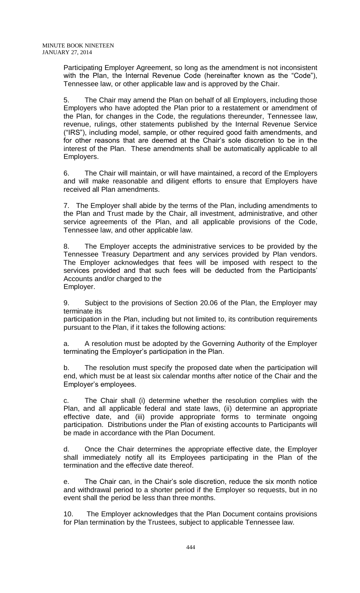Participating Employer Agreement, so long as the amendment is not inconsistent with the Plan, the Internal Revenue Code (hereinafter known as the "Code"), Tennessee law, or other applicable law and is approved by the Chair.

5. The Chair may amend the Plan on behalf of all Employers, including those Employers who have adopted the Plan prior to a restatement or amendment of the Plan, for changes in the Code, the regulations thereunder, Tennessee law, revenue, rulings, other statements published by the Internal Revenue Service ("IRS"), including model, sample, or other required good faith amendments, and for other reasons that are deemed at the Chair's sole discretion to be in the interest of the Plan. These amendments shall be automatically applicable to all Employers.

6. The Chair will maintain, or will have maintained, a record of the Employers and will make reasonable and diligent efforts to ensure that Employers have received all Plan amendments.

7. The Employer shall abide by the terms of the Plan, including amendments to the Plan and Trust made by the Chair, all investment, administrative, and other service agreements of the Plan, and all applicable provisions of the Code, Tennessee law, and other applicable law.

8. The Employer accepts the administrative services to be provided by the Tennessee Treasury Department and any services provided by Plan vendors. The Employer acknowledges that fees will be imposed with respect to the services provided and that such fees will be deducted from the Participants' Accounts and/or charged to the Employer.

9. Subject to the provisions of Section 20.06 of the Plan, the Employer may terminate its

participation in the Plan, including but not limited to, its contribution requirements pursuant to the Plan, if it takes the following actions:

a. A resolution must be adopted by the Governing Authority of the Employer terminating the Employer's participation in the Plan.

b. The resolution must specify the proposed date when the participation will end, which must be at least six calendar months after notice of the Chair and the Employer's employees.

c. The Chair shall (i) determine whether the resolution complies with the Plan, and all applicable federal and state laws, (ii) determine an appropriate effective date, and (iii) provide appropriate forms to terminate ongoing participation. Distributions under the Plan of existing accounts to Participants will be made in accordance with the Plan Document.

d. Once the Chair determines the appropriate effective date, the Employer shall immediately notify all its Employees participating in the Plan of the termination and the effective date thereof.

e. The Chair can, in the Chair's sole discretion, reduce the six month notice and withdrawal period to a shorter period if the Employer so requests, but in no event shall the period be less than three months.

10. The Employer acknowledges that the Plan Document contains provisions for Plan termination by the Trustees, subject to applicable Tennessee law.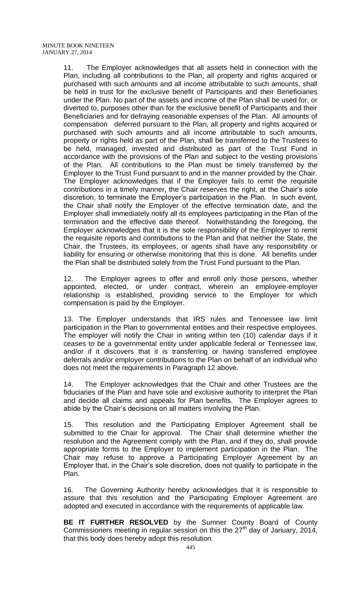11. The Employer acknowledges that all assets held in connection with the Plan, including all contributions to the Plan, all property and rights acquired or purchased with such amounts and all income attributable to such amounts, shall be held in trust for the exclusive benefit of Participants and their Beneficiaries under the Plan. No part of the assets and income of the Plan shall be used for, or diverted to, purposes other than for the exclusive benefit of Participants and their Beneficiaries and for defraying reasonable expenses of the Plan. All amounts of compensation deferred pursuant to the Plan, all property and rights acquired or purchased with such amounts and all income attributable to such amounts, property or rights held as part of the Plan, shall be transferred to the Trustees to be held, managed, invested and distributed as part of the Trust Fund in accordance with the provisions of the Plan and subject to the vesting provisions of the Plan. All contributions to the Plan must be timely transferred by the Employer to the Trust Fund pursuant to and in the manner provided by the Chair. The Employer acknowledges that if the Employer fails to remit the requisite contributions in a timely manner, the Chair reserves the right, at the Chair's sole discretion, to terminate the Employer's participation in the Plan. In such event, the Chair shall notify the Employer of the effective termination date, and the Employer shall immediately notify all its employees participating in the Plan of the termination and the effective date thereof. Notwithstanding the foregoing, the Employer acknowledges that it is the sole responsibility of the Employer to remit the requisite reports and contributions to the Plan and that neither the State, the Chair, the Trustees, its employees, or agents shall have any responsibility or liability for ensuring or otherwise monitoring that this is done. All benefits under the Plan shall be distributed solely from the Trust Fund pursuant to the Plan.

12. The Employer agrees to offer and enroll only those persons, whether appointed, elected, or under contract, wherein an employee-employer relationship is established, providing service to the Employer for which compensation is paid by the Employer.

13. The Employer understands that IRS rules and Tennessee law limit participation in the Plan to governmental entities and their respective employees. The employer will notify the Chair in writing within ten (10) calendar days if it ceases to be a governmental entity under applicable federal or Tennessee law, and/or if it discovers that it is transferring or having transferred employee deferrals and/or employer contributions to the Plan on behalf of an individual who does not meet the requirements in Paragraph 12 above.

14. The Employer acknowledges that the Chair and other Trustees are the fiduciaries of the Plan and have sole and exclusive authority to interpret the Plan and decide all claims and appeals for Plan benefits. The Employer agrees to abide by the Chair's decisions on all matters involving the Plan.

15. This resolution and the Participating Employer Agreement shall be submitted to the Chair for approval. The Chair shall determine whether the resolution and the Agreement comply with the Plan, and if they do, shall provide appropriate forms to the Employer to implement participation in the Plan. The Chair may refuse to approve a Participating Employer Agreement by an Employer that, in the Chair's sole discretion, does not qualify to participate in the Plan.

16. The Governing Authority hereby acknowledges that it is responsible to assure that this resolution and the Participating Employer Agreement are adopted and executed in accordance with the requirements of applicable law.

**BE IT FURTHER RESOLVED** by the Sumner County Board of County Commissioners meeting in regular session on this the  $27<sup>th</sup>$  day of January, 2014, that this body does hereby adopt this resolution.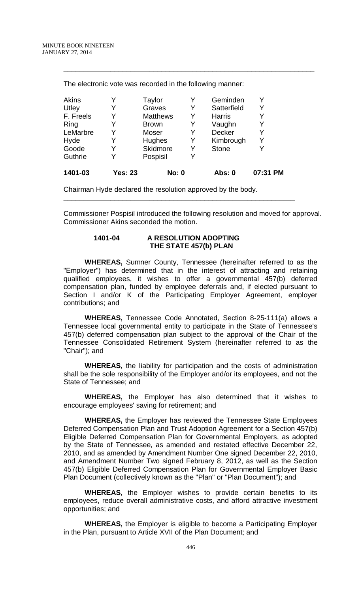| 1401-03   | Yes: 23 | <b>No: 0</b>    |   | Abs: 0        | 07:31 PM |
|-----------|---------|-----------------|---|---------------|----------|
| Guthrie   |         | Pospisil        | Y |               |          |
| Goode     |         | Skidmore        | Y | <b>Stone</b>  |          |
| Hyde      |         | Hughes          | Y | Kimbrough     | Y        |
| LeMarbre  |         | Moser           | Y | Decker        | Y        |
| Ring      |         | <b>Brown</b>    | Y | Vaughn        | Y        |
| F. Freels |         | <b>Matthews</b> | Y | <b>Harris</b> |          |
| Utley     |         | Graves          | Y | Satterfield   | Y        |
| Akins     |         | Taylor          | Y | Geminden      | Y        |

\_\_\_\_\_\_\_\_\_\_\_\_\_\_\_\_\_\_\_\_\_\_\_\_\_\_\_\_\_\_\_\_\_\_\_\_\_\_\_\_\_\_\_\_\_\_\_\_\_\_\_\_\_\_\_\_\_\_\_\_\_\_\_\_

The electronic vote was recorded in the following manner:

Chairman Hyde declared the resolution approved by the body.

Commissioner Pospisil introduced the following resolution and moved for approval. Commissioner Akins seconded the motion.

\_\_\_\_\_\_\_\_\_\_\_\_\_\_\_\_\_\_\_\_\_\_\_\_\_\_\_\_\_\_\_\_\_\_\_\_\_\_\_\_\_\_\_\_\_\_\_\_\_\_\_\_\_\_\_\_\_\_\_

## **1401-04 A RESOLUTION ADOPTING THE STATE 457(b) PLAN**

**WHEREAS,** Sumner County, Tennessee (hereinafter referred to as the "Employer") has determined that in the interest of attracting and retaining qualified employees, it wishes to offer a governmental 457(b) deferred compensation plan, funded by employee deferrals and, if elected pursuant to Section I and/or K of the Participating Employer Agreement, employer contributions; and

**WHEREAS,** Tennessee Code Annotated, Section 8-25-111(a) allows a Tennessee local governmental entity to participate in the State of Tennessee's 457(b) deferred compensation plan subject to the approval of the Chair of the Tennessee Consolidated Retirement System (hereinafter referred to as the "Chair"); and

**WHEREAS,** the liability for participation and the costs of administration shall be the sole responsibility of the Employer and/or its employees, and not the State of Tennessee; and

**WHEREAS,** the Employer has also determined that it wishes to encourage employees' saving for retirement; and

**WHEREAS,** the Employer has reviewed the Tennessee State Employees Deferred Compensation Plan and Trust Adoption Agreement for a Section 457(b) Eligible Deferred Compensation Plan for Governmental Employers, as adopted by the State of Tennessee, as amended and restated effective December 22, 2010, and as amended by Amendment Number One signed December 22, 2010, and Amendment Number Two signed February 8, 2012, as well as the Section 457(b) Eligible Deferred Compensation Plan for Governmental Employer Basic Plan Document (collectively known as the "Plan" or "Plan Document"); and

**WHEREAS,** the Employer wishes to provide certain benefits to its employees, reduce overall administrative costs, and afford attractive investment opportunities; and

**WHEREAS,** the Employer is eligible to become a Participating Employer in the Plan, pursuant to Article XVII of the Plan Document; and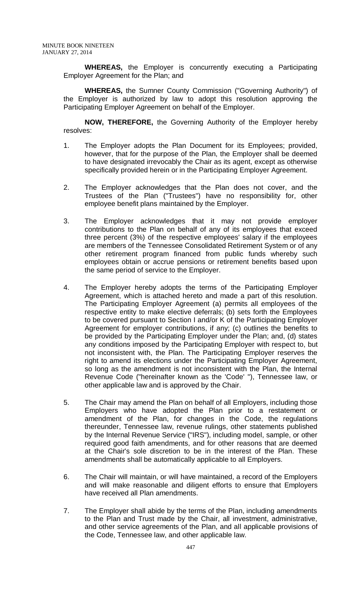**WHEREAS,** the Employer is concurrently executing a Participating Employer Agreement for the Plan; and

**WHEREAS,** the Sumner County Commission ("Governing Authority") of the Employer is authorized by law to adopt this resolution approving the Participating Employer Agreement on behalf of the Employer.

**NOW, THEREFORE,** the Governing Authority of the Employer hereby resolves:

- 1. The Employer adopts the Plan Document for its Employees; provided, however, that for the purpose of the Plan, the Employer shall be deemed to have designated irrevocably the Chair as its agent, except as otherwise specifically provided herein or in the Participating Employer Agreement.
- 2. The Employer acknowledges that the Plan does not cover, and the Trustees of the Plan ("Trustees") have no responsibility for, other employee benefit plans maintained by the Employer.
- 3. The Employer acknowledges that it may not provide employer contributions to the Plan on behalf of any of its employees that exceed three percent (3%) of the respective employees' salary if the employees are members of the Tennessee Consolidated Retirement System or of any other retirement program financed from public funds whereby such employees obtain or accrue pensions or retirement benefits based upon the same period of service to the Employer.
- 4. The Employer hereby adopts the terms of the Participating Employer Agreement, which is attached hereto and made a part of this resolution. The Participating Employer Agreement (a) permits all employees of the respective entity to make elective deferrals; (b) sets forth the Employees to be covered pursuant to Section I and/or K of the Participating Employer Agreement for employer contributions, if any; (c) outlines the benefits to be provided by the Participating Employer under the Plan; and, (d) states any conditions imposed by the Participating Employer with respect to, but not inconsistent with, the Plan. The Participating Employer reserves the right to amend its elections under the Participating Employer Agreement, so long as the amendment is not inconsistent with the Plan, the Internal Revenue Code ("hereinafter known as the 'Code' "), Tennessee law, or other applicable law and is approved by the Chair.
- 5. The Chair may amend the Plan on behalf of all Employers, including those Employers who have adopted the Plan prior to a restatement or amendment of the Plan, for changes in the Code, the regulations thereunder, Tennessee law, revenue rulings, other statements published by the Internal Revenue Service ("IRS"), including model, sample, or other required good faith amendments, and for other reasons that are deemed at the Chair's sole discretion to be in the interest of the Plan. These amendments shall be automatically applicable to all Employers.
- 6. The Chair will maintain, or will have maintained, a record of the Employers and will make reasonable and diligent efforts to ensure that Employers have received all Plan amendments.
- 7. The Employer shall abide by the terms of the Plan, including amendments to the Plan and Trust made by the Chair, all investment, administrative, and other service agreements of the Plan, and all applicable provisions of the Code, Tennessee law, and other applicable law.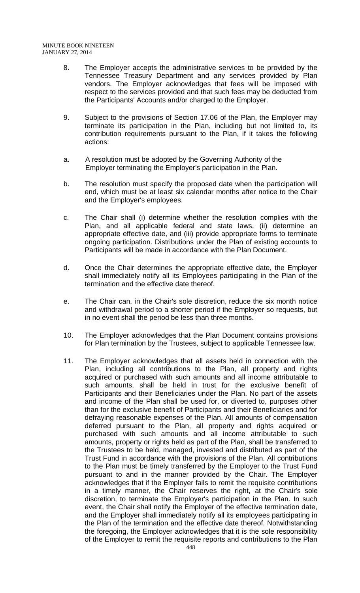- 8. The Employer accepts the administrative services to be provided by the Tennessee Treasury Department and any services provided by Plan vendors. The Employer acknowledges that fees will be imposed with respect to the services provided and that such fees may be deducted from the Participants' Accounts and/or charged to the Employer.
- 9. Subject to the provisions of Section 17.06 of the Plan, the Employer may terminate its participation in the Plan, including but not limited to, its contribution requirements pursuant to the Plan, if it takes the following actions:
- a. A resolution must be adopted by the Governing Authority of the Employer terminating the Employer's participation in the Plan.
- b. The resolution must specify the proposed date when the participation will end, which must be at least six calendar months after notice to the Chair and the Employer's employees.
- c. The Chair shall (i) determine whether the resolution complies with the Plan, and all applicable federal and state laws, (ii) determine an appropriate effective date, and (iii) provide appropriate forms to terminate ongoing participation. Distributions under the Plan of existing accounts to Participants will be made in accordance with the Plan Document.
- d. Once the Chair determines the appropriate effective date, the Employer shall immediately notify all its Employees participating in the Plan of the termination and the effective date thereof.
- e. The Chair can, in the Chair's sole discretion, reduce the six month notice and withdrawal period to a shorter period if the Employer so requests, but in no event shall the period be less than three months.
- 10. The Employer acknowledges that the Plan Document contains provisions for Plan termination by the Trustees, subject to applicable Tennessee law.
- 11. The Employer acknowledges that all assets held in connection with the Plan, including all contributions to the Plan, all property and rights acquired or purchased with such amounts and all income attributable to such amounts, shall be held in trust for the exclusive benefit of Participants and their Beneficiaries under the Plan. No part of the assets and income of the Plan shall be used for, or diverted to, purposes other than for the exclusive benefit of Participants and their Beneficiaries and for defraying reasonable expenses of the Plan. All amounts of compensation deferred pursuant to the Plan, all property and rights acquired or purchased with such amounts and all income attributable to such amounts, property or rights held as part of the Plan, shall be transferred to the Trustees to be held, managed, invested and distributed as part of the Trust Fund in accordance with the provisions of the Plan. All contributions to the Plan must be timely transferred by the Employer to the Trust Fund pursuant to and in the manner provided by the Chair. The Employer acknowledges that if the Employer fails to remit the requisite contributions in a timely manner, the Chair reserves the right, at the Chair's sole discretion, to terminate the Employer's participation in the Plan. In such event, the Chair shall notify the Employer of the effective termination date, and the Employer shall immediately notify all its employees participating in the Plan of the termination and the effective date thereof. Notwithstanding the foregoing, the Employer acknowledges that it is the sole responsibility of the Employer to remit the requisite reports and contributions to the Plan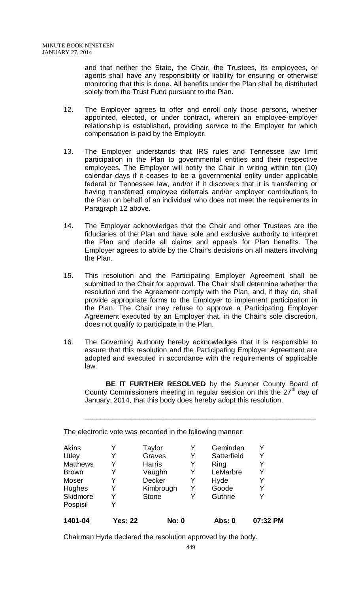and that neither the State, the Chair, the Trustees, its employees, or agents shall have any responsibility or liability for ensuring or otherwise monitoring that this is done. All benefits under the Plan shall be distributed solely from the Trust Fund pursuant to the Plan.

- 12. The Employer agrees to offer and enroll only those persons, whether appointed, elected, or under contract, wherein an employee-employer relationship is established, providing service to the Employer for which compensation is paid by the Employer.
- 13. The Employer understands that IRS rules and Tennessee law limit participation in the Plan to governmental entities and their respective employees. The Employer will notify the Chair in writing within ten (10) calendar days if it ceases to be a governmental entity under applicable federal or Tennessee law, and/or if it discovers that it is transferring or having transferred employee deferrals and/or employer contributions to the Plan on behalf of an individual who does not meet the requirements in Paragraph 12 above.
- 14. The Employer acknowledges that the Chair and other Trustees are the fiduciaries of the Plan and have sole and exclusive authority to interpret the Plan and decide all claims and appeals for Plan benefits. The Employer agrees to abide by the Chair's decisions on all matters involving the Plan.
- 15. This resolution and the Participating Employer Agreement shall be submitted to the Chair for approval. The Chair shall determine whether the resolution and the Agreement comply with the Plan, and, if they do, shall provide appropriate forms to the Employer to implement participation in the Plan. The Chair may refuse to approve a Participating Employer Agreement executed by an Employer that, in the Chair's sole discretion, does not qualify to participate in the Plan.
- 16. The Governing Authority hereby acknowledges that it is responsible to assure that this resolution and the Participating Employer Agreement are adopted and executed in accordance with the requirements of applicable law.

**BE IT FURTHER RESOLVED** by the Sumner County Board of County Commissioners meeting in regular session on this the  $27<sup>th</sup>$  day of January, 2014, that this body does hereby adopt this resolution.

\_\_\_\_\_\_\_\_\_\_\_\_\_\_\_\_\_\_\_\_\_\_\_\_\_\_\_\_\_\_\_\_\_\_\_\_\_\_\_\_\_\_\_\_\_\_\_\_\_\_\_\_\_\_\_\_\_\_\_

The electronic vote was recorded in the following manner:

| 1401-04         | <b>Yes: 22</b> | <b>No: 0</b>  |   | Abs: 0      | 07:32 PM |
|-----------------|----------------|---------------|---|-------------|----------|
| Pospisil        |                |               |   |             |          |
| Skidmore        | Y              | <b>Stone</b>  | Y | Guthrie     | Y        |
| <b>Hughes</b>   |                | Kimbrough     | Y | Goode       | Y        |
| Moser           |                | Decker        | Y | Hyde        |          |
| <b>Brown</b>    | Y              | Vaughn        | Y | LeMarbre    | Y        |
| <b>Matthews</b> |                | <b>Harris</b> | Y | Ring        | Y        |
| Utley           |                | Graves        | Y | Satterfield | Y        |
| Akins           |                | Taylor        | Y | Geminden    |          |

Chairman Hyde declared the resolution approved by the body.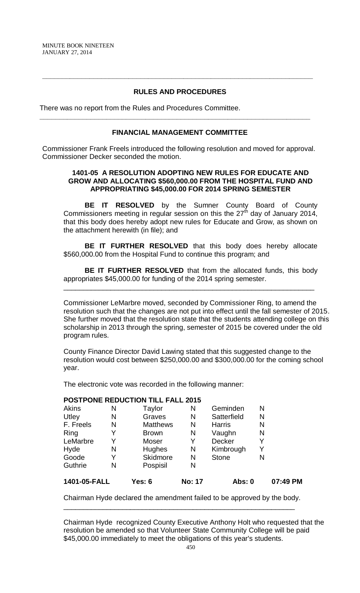## **RULES AND PROCEDURES**

**\_\_\_\_\_\_\_\_\_\_\_\_\_\_\_\_\_\_\_\_\_\_\_\_\_\_\_\_\_\_\_\_\_\_\_\_\_\_\_\_\_\_\_\_\_\_\_\_\_\_\_\_\_\_\_\_\_\_\_\_\_\_\_\_\_\_\_\_\_**

There was no report from the Rules and Procedures Committee.

### **FINANCIAL MANAGEMENT COMMITTEE**

**\_\_\_\_\_\_\_\_\_\_\_\_\_\_\_\_\_\_\_\_\_\_\_\_\_\_\_\_\_\_\_\_\_\_\_\_\_\_\_\_\_\_\_\_\_\_\_\_\_\_\_\_\_\_\_\_\_\_\_\_\_\_\_\_\_\_\_\_\_**

Commissioner Frank Freels introduced the following resolution and moved for approval. Commissioner Decker seconded the motion.

### **1401-05 A RESOLUTION ADOPTING NEW RULES FOR EDUCATE AND GROW AND ALLOCATING \$560,000.00 FROM THE HOSPITAL FUND AND APPROPRIATING \$45,000.00 FOR 2014 SPRING SEMESTER**

**BE IT RESOLVED** by the Sumner County Board of County Commissioners meeting in regular session on this the 27<sup>th</sup> day of January 2014, that this body does hereby adopt new rules for Educate and Grow, as shown on the attachment herewith (in file); and

**BE IT FURTHER RESOLVED** that this body does hereby allocate \$560,000.00 from the Hospital Fund to continue this program; and

**BE IT FURTHER RESOLVED** that from the allocated funds, this body appropriates \$45,000.00 for funding of the 2014 spring semester.

\_\_\_\_\_\_\_\_\_\_\_\_\_\_\_\_\_\_\_\_\_\_\_\_\_\_\_\_\_\_\_\_\_\_\_\_\_\_\_\_\_\_\_\_\_\_\_\_\_\_\_\_\_\_\_\_\_\_\_\_\_\_\_\_

Commissioner LeMarbre moved, seconded by Commissioner Ring, to amend the resolution such that the changes are not put into effect until the fall semester of 2015. She further moved that the resolution state that the students attending college on this scholarship in 2013 through the spring, semester of 2015 be covered under the old program rules.

County Finance Director David Lawing stated that this suggested change to the resolution would cost between \$250,000.00 and \$300,000.00 for the coming school year.

The electronic vote was recorded in the following manner:

### **POSTPONE REDUCTION TILL FALL 2015**

| 1401-05-FALL |   | <b>Yes: 6</b>   | <b>No: 17</b> | Abs: 0        |   | 07:49 PM |
|--------------|---|-----------------|---------------|---------------|---|----------|
| Guthrie      | N | Pospisil        | N             |               |   |          |
| Goode        | Y | <b>Skidmore</b> | N             | <b>Stone</b>  | N |          |
| Hyde         | N | Hughes          | N             | Kimbrough     | Y |          |
| LeMarbre     | Y | Moser           | Y             | Decker        | Y |          |
| Ring         | Y | <b>Brown</b>    | N             | Vaughn        | N |          |
| F. Freels    | N | <b>Matthews</b> | N             | <b>Harris</b> | N |          |
| Utley        | N | Graves          | N             | Satterfield   | N |          |
| Akins        | N | Taylor          | N             | Geminden      | N |          |

Chairman Hyde declared the amendment failed to be approved by the body. \_\_\_\_\_\_\_\_\_\_\_\_\_\_\_\_\_\_\_\_\_\_\_\_\_\_\_\_\_\_\_\_\_\_\_\_\_\_\_\_\_\_\_\_\_\_\_\_\_\_\_\_\_\_\_\_\_\_\_

Chairman Hyde recognized County Executive Anthony Holt who requested that the resolution be amended so that Volunteer State Community College will be paid \$45,000.00 immediately to meet the obligations of this year's students.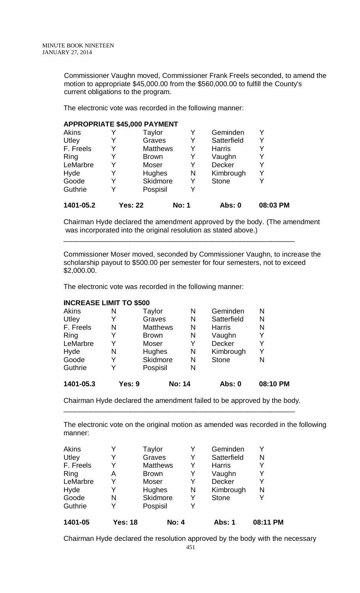Commissioner Vaughn moved, Commissioner Frank Freels seconded, to amend the motion to appropriate \$45,000.00 from the \$560,000.00 to fulfill the County's current obligations to the program.

The electronic vote was recorded in the following manner:

### **APPROPRIATE \$45,000 PAYMENT**

| 1401-05.2 |   | <b>Yes: 22</b>  | <b>No: 1</b> | <b>Abs: 0</b> | 08:03 PM |
|-----------|---|-----------------|--------------|---------------|----------|
| Guthrie   | Y | Pospisil        | Y            |               |          |
| Goode     | Y | Skidmore        | Y            | <b>Stone</b>  |          |
| Hyde      | Y | Hughes          | N            | Kimbrough     |          |
| LeMarbre  | Y | Moser           | Y            | Decker        |          |
| Ring      | Y | <b>Brown</b>    | Y            | Vaughn        |          |
| F. Freels | Y | <b>Matthews</b> | Y            | <b>Harris</b> |          |
| Utley     | Y | Graves          | Y            | Satterfield   |          |
| Akins     |   | Taylor          |              | Geminden      |          |

Chairman Hyde declared the amendment approved by the body. (The amendment was incorporated into the original resolution as stated above.)

\_\_\_\_\_\_\_\_\_\_\_\_\_\_\_\_\_\_\_\_\_\_\_\_\_\_\_\_\_\_\_\_\_\_\_\_\_\_\_\_\_\_\_\_\_\_\_\_\_\_\_\_\_\_\_\_\_\_\_

Commissioner Moser moved, seconded by Commissioner Vaughn, to increase the scholarship payout to \$500.00 per semester for four semesters, not to exceed \$2,000.00.

The electronic vote was recorded in the following manner:

## **INCREASE LIMIT TO \$500**

| 1401-05.3 | Yes: 9 |                 | <b>No: 14</b> | Abs: 0        | 08:10 PM |
|-----------|--------|-----------------|---------------|---------------|----------|
| Guthrie   | Y      | Pospisil        | N             |               |          |
| Goode     | Y      | Skidmore        | N             | <b>Stone</b>  | N        |
| Hyde      | N      | <b>Hughes</b>   | N             | Kimbrough     | Y        |
| LeMarbre  | Y      | Moser           | Y             | Decker        | Y        |
| Ring      | Y      | <b>Brown</b>    | N             | Vaughn        | Y        |
| F. Freels | N      | <b>Matthews</b> | N             | <b>Harris</b> | N        |
| Utley     | Y      | Graves          | N             | Satterfield   | N        |
| Akins     | N      | Taylor          | N             | Geminden      | N        |

Chairman Hyde declared the amendment failed to be approved by the body. \_\_\_\_\_\_\_\_\_\_\_\_\_\_\_\_\_\_\_\_\_\_\_\_\_\_\_\_\_\_\_\_\_\_\_\_\_\_\_\_\_\_\_\_\_\_\_\_\_\_\_\_\_\_\_\_\_\_\_

The electronic vote on the original motion as amended was recorded in the following manner:

| 1401-05   | <b>Yes: 18</b> | <b>No: 4</b>    |   | Abs: 1        | 08:11 PM |
|-----------|----------------|-----------------|---|---------------|----------|
| Guthrie   |                | Pospisil        | Y |               |          |
| Goode     | N              | Skidmore        | Y | <b>Stone</b>  | Y        |
| Hyde      |                | <b>Hughes</b>   | N | Kimbrough     | N        |
| LeMarbre  |                | Moser           | Y | Decker        | Y        |
| Ring      | A              | <b>Brown</b>    | Y | Vaughn        | Y        |
| F. Freels |                | <b>Matthews</b> | Y | <b>Harris</b> | Y        |
| Utley     |                | Graves          | Y | Satterfield   | N        |
| Akins     |                | Taylor          | Y | Geminden      | V        |

Chairman Hyde declared the resolution approved by the body with the necessary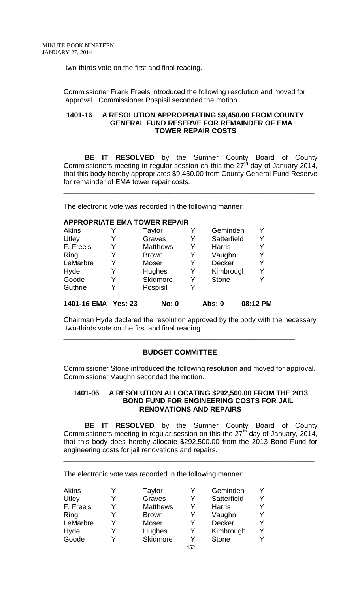two-thirds vote on the first and final reading.

Commissioner Frank Freels introduced the following resolution and moved for approval. Commissioner Pospisil seconded the motion.

\_\_\_\_\_\_\_\_\_\_\_\_\_\_\_\_\_\_\_\_\_\_\_\_\_\_\_\_\_\_\_\_\_\_\_\_\_\_\_\_\_\_\_\_\_\_\_\_\_\_\_\_\_\_\_\_\_\_\_

### **1401-16 A RESOLUTION APPROPRIATING \$9,450.00 FROM COUNTY GENERAL FUND RESERVE FOR REMAINDER OF EMA TOWER REPAIR COSTS**

**BE IT RESOLVED** by the Sumner County Board of County Commissioners meeting in regular session on this the  $27<sup>th</sup>$  day of January 2014, that this body hereby appropriates \$9,450.00 from County General Fund Reserve for remainder of EMA tower repair costs.

\_\_\_\_\_\_\_\_\_\_\_\_\_\_\_\_\_\_\_\_\_\_\_\_\_\_\_\_\_\_\_\_\_\_\_\_\_\_\_\_\_\_\_\_\_\_\_\_\_\_\_\_\_\_\_\_\_\_\_\_\_\_\_\_

The electronic vote was recorded in the following manner:

| <b>APPROPRIATE EMA TOWER REPAIR</b> |   |                 |   |               |          |
|-------------------------------------|---|-----------------|---|---------------|----------|
| Akins                               |   | Taylor          | Y | Geminden      |          |
| Utley                               |   | Graves          | Y | Satterfield   | Y        |
| F. Freels                           | Y | <b>Matthews</b> | Y | <b>Harris</b> |          |
| Ring                                | Y | <b>Brown</b>    | Y | Vaughn        |          |
| LeMarbre                            | Y | Moser           | Y | Decker        | Y        |
| Hyde                                | Y | <b>Hughes</b>   | Y | Kimbrough     | Y        |
| Goode                               | Y | Skidmore        | Y | <b>Stone</b>  |          |
| Guthrie                             |   | Pospisil        | Y |               |          |
| 1401-16 EMA Yes: 23                 |   | <b>No: 0</b>    |   | Abs: 0        | 08:12 PM |

Chairman Hyde declared the resolution approved by the body with the necessary two-thirds vote on the first and final reading.

# **BUDGET COMMITTEE**

\_\_\_\_\_\_\_\_\_\_\_\_\_\_\_\_\_\_\_\_\_\_\_\_\_\_\_\_\_\_\_\_\_\_\_\_\_\_\_\_\_\_\_\_\_\_\_\_\_\_\_\_\_\_\_\_\_\_\_

Commissioner Stone introduced the following resolution and moved for approval. Commissioner Vaughn seconded the motion.

### **1401-06 A RESOLUTION ALLOCATING \$292,500.00 FROM THE 2013 BOND FUND FOR ENGINEERING COSTS FOR JAIL RENOVATIONS AND REPAIRS**

**BE IT RESOLVED** by the Sumner County Board of County Commissioners meeting in regular session on this the  $27<sup>th</sup>$  day of January, 2014, that this body does hereby allocate \$292,500.00 from the 2013 Bond Fund for engineering costs for jail renovations and repairs.

\_\_\_\_\_\_\_\_\_\_\_\_\_\_\_\_\_\_\_\_\_\_\_\_\_\_\_\_\_\_\_\_\_\_\_\_\_\_\_\_\_\_\_\_\_\_\_\_\_\_\_\_\_\_\_\_\_\_\_\_\_\_\_\_

The electronic vote was recorded in the following manner:

| <b>Akins</b> |   | Taylor          |     | Geminden      |   |
|--------------|---|-----------------|-----|---------------|---|
| Utley        | Y | Graves          | Y   | Satterfield   |   |
| F. Freels    | Y | <b>Matthews</b> | Y   | <b>Harris</b> |   |
| Ring         |   | <b>Brown</b>    | Y   | Vaughn        |   |
| LeMarbre     | Y | Moser           | Y   | <b>Decker</b> |   |
| Hyde         |   | Hughes          | Y   | Kimbrough     | v |
| Goode        |   | Skidmore        | Y   | <b>Stone</b>  |   |
|              |   |                 | 452 |               |   |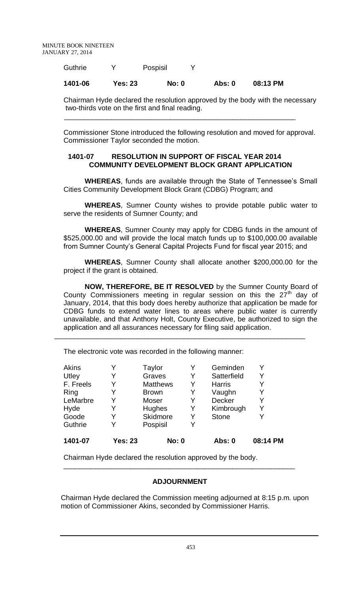| Guthrie |         | Pospisil     |        |          |
|---------|---------|--------------|--------|----------|
| 1401-06 | Yes: 23 | <b>No: 0</b> | Abs: 0 | 08:13 PM |

Chairman Hyde declared the resolution approved by the body with the necessary two-thirds vote on the first and final reading.

Commissioner Stone introduced the following resolution and moved for approval. Commissioner Taylor seconded the motion.

## **1401-07 RESOLUTION IN SUPPORT OF FISCAL YEAR 2014 COMMUNITY DEVELOPMENT BLOCK GRANT APPLICATION**

\_\_\_\_\_\_\_\_\_\_\_\_\_\_\_\_\_\_\_\_\_\_\_\_\_\_\_\_\_\_\_\_\_\_\_\_\_\_\_\_\_\_\_\_\_\_\_\_\_\_\_\_\_\_\_\_\_\_\_

**WHEREAS**, funds are available through the State of Tennessee's Small Cities Community Development Block Grant (CDBG) Program; and

**WHEREAS**, Sumner County wishes to provide potable public water to serve the residents of Sumner County; and

**WHEREAS**, Sumner County may apply for CDBG funds in the amount of \$525,000.00 and will provide the local match funds up to \$100,000.00 available from Sumner County's General Capital Projects Fund for fiscal year 2015; and

**WHEREAS**, Sumner County shall allocate another \$200,000.00 for the project if the grant is obtained.

**NOW, THEREFORE, BE IT RESOLVED** by the Sumner County Board of County Commissioners meeting in regular session on this the  $27<sup>th</sup>$  day of January, 2014, that this body does hereby authorize that application be made for CDBG funds to extend water lines to areas where public water is currently unavailable, and that Anthony Holt, County Executive, be authorized to sign the application and all assurances necessary for filing said application.

\_\_\_\_\_\_\_\_\_\_\_\_\_\_\_\_\_\_\_\_\_\_\_\_\_\_\_\_\_\_\_\_\_\_\_\_\_\_\_\_\_\_\_\_\_\_\_\_\_\_\_\_\_\_\_\_\_\_\_\_\_\_\_\_

| 1401-07   | <b>Yes: 23</b> | <b>No: 0</b>    |   | Abs: 0        | 08:14 PM |
|-----------|----------------|-----------------|---|---------------|----------|
| Guthrie   |                | Pospisil        | Y |               |          |
| Goode     | Y              | Skidmore        | Y | <b>Stone</b>  |          |
| Hyde      |                | Hughes          | Y | Kimbrough     | Y        |
| LeMarbre  |                | Moser           | Y | Decker        |          |
| Ring      |                | <b>Brown</b>    | Y | Vaughn        | Y        |
| F. Freels |                | <b>Matthews</b> | Y | <b>Harris</b> |          |
| Utley     |                | Graves          | Y | Satterfield   | Y        |
| Akins     |                | Taylor          | Y | Geminden      |          |

The electronic vote was recorded in the following manner:

Chairman Hyde declared the resolution approved by the body.

# **ADJOURNMENT**

\_\_\_\_\_\_\_\_\_\_\_\_\_\_\_\_\_\_\_\_\_\_\_\_\_\_\_\_\_\_\_\_\_\_\_\_\_\_\_\_\_\_\_\_\_\_\_\_\_\_\_\_\_\_\_\_\_\_\_

Chairman Hyde declared the Commission meeting adjourned at 8:15 p.m. upon motion of Commissioner Akins, seconded by Commissioner Harris.